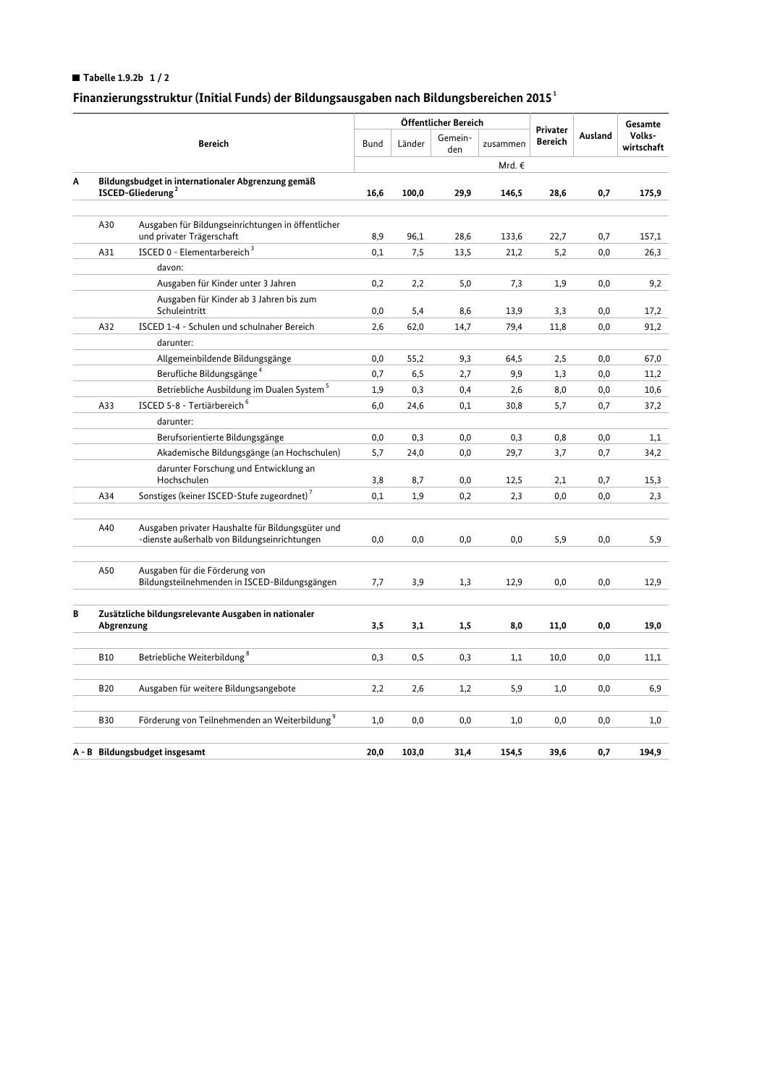## Tabelle 1.9.2b  $1/2$

# Finanzierungsstruktur (Initial Funds) der Bildungsausgaben nach Bildungsbereichen 2015 $^{\rm 1}$

|   |                                                                                     |                                                                                                   |             | Öffentlicher Bereich |                |          |                            |         | Gesamte              |
|---|-------------------------------------------------------------------------------------|---------------------------------------------------------------------------------------------------|-------------|----------------------|----------------|----------|----------------------------|---------|----------------------|
|   | <b>Bereich</b>                                                                      |                                                                                                   | <b>Bund</b> | Länder               | Gemein-<br>den | zusammen | Privater<br><b>Bereich</b> | Ausland | Volks-<br>wirtschaft |
|   |                                                                                     |                                                                                                   |             |                      |                | Mrd. €   |                            |         |                      |
| A | Bildungsbudget in internationaler Abgrenzung gemäß<br>ISCED-Gliederung <sup>2</sup> |                                                                                                   | 16,6        | 100,0                | 29,9           | 146,5    | 28,6                       | 0,7     | 175,9                |
|   |                                                                                     |                                                                                                   |             |                      |                |          |                            |         |                      |
|   | A30                                                                                 | Ausgaben für Bildungseinrichtungen in öffentlicher<br>und privater Trägerschaft                   | 8,9         | 96,1                 | 28,6           | 133,6    | 22,7                       | 0,7     | 157,1                |
|   | A31                                                                                 | ISCED 0 - Elementarbereich <sup>3</sup>                                                           | 0,1         | 7,5                  | 13,5           | 21,2     | 5,2                        | 0,0     | 26,3                 |
|   |                                                                                     | davon:                                                                                            |             |                      |                |          |                            |         |                      |
|   |                                                                                     | Ausgaben für Kinder unter 3 Jahren                                                                | 0,2         | 2,2                  | 5,0            | 7,3      | 1,9                        | 0,0     | 9,2                  |
|   |                                                                                     | Ausgaben für Kinder ab 3 Jahren bis zum<br>Schuleintritt                                          | 0,0         | 5,4                  | 8,6            | 13,9     | 3,3                        | 0,0     | 17,2                 |
|   | A32                                                                                 | ISCED 1-4 - Schulen und schulnaher Bereich                                                        | 2,6         | 62,0                 | 14,7           | 79,4     | 11,8                       | 0,0     | 91,2                 |
|   |                                                                                     | darunter:                                                                                         |             |                      |                |          |                            |         |                      |
|   |                                                                                     | Allgemeinbildende Bildungsgänge                                                                   | 0,0         | 55,2                 | 9,3            | 64,5     | 2,5                        | 0,0     | 67,0                 |
|   |                                                                                     | Berufliche Bildungsgänge <sup>4</sup>                                                             | 0,7         | 6, 5                 | 2,7            | 9,9      | 1,3                        | 0,0     | 11,2                 |
|   |                                                                                     | Betriebliche Ausbildung im Dualen System <sup>5</sup>                                             | 1,9         | 0,3                  | 0,4            | 2,6      | 8,0                        | 0,0     | 10,6                 |
|   | A33                                                                                 | ISCED 5-8 - Tertiärbereich <sup>6</sup>                                                           | 6,0         | 24,6                 | 0,1            | 30,8     | 5,7                        | 0,7     | 37,2                 |
|   |                                                                                     | darunter:                                                                                         |             |                      |                |          |                            |         |                      |
|   |                                                                                     | Berufsorientierte Bildungsgänge                                                                   | 0,0         | 0,3                  | 0,0            | 0,3      | 0,8                        | 0,0     | 1,1                  |
|   |                                                                                     | Akademische Bildungsgänge (an Hochschulen)                                                        | 5,7         | 24,0                 | 0,0            | 29,7     | 3,7                        | 0,7     | 34,2                 |
|   |                                                                                     | darunter Forschung und Entwicklung an<br>Hochschulen                                              | 3,8         | 8,7                  | 0,0            | 12,5     | 2,1                        | 0,7     | 15,3                 |
|   | A34                                                                                 | Sonstiges (keiner ISCED-Stufe zugeordnet) <sup>7</sup>                                            | 0,1         | 1,9                  | 0,2            | 2,3      | 0,0                        | 0,0     | 2,3                  |
|   |                                                                                     |                                                                                                   |             |                      |                |          |                            |         |                      |
|   | A40                                                                                 | Ausgaben privater Haushalte für Bildungsgüter und<br>-dienste außerhalb von Bildungseinrichtungen | 0,0         | 0,0                  | 0,0            | 0,0      | 5,9                        | 0,0     | 5,9                  |
|   | A50                                                                                 | Ausgaben für die Förderung von<br>Bildungsteilnehmenden in ISCED-Bildungsgängen                   | 7,7         | 3,9                  | 1,3            | 12,9     | 0,0                        | 0,0     | 12,9                 |
| В | Zusätzliche bildungsrelevante Ausgaben in nationaler<br>Abgrenzung                  |                                                                                                   | 3,5         | 3,1                  | 1,5            | 8,0      | 11,0                       | 0,0     | 19,0                 |
|   |                                                                                     |                                                                                                   |             |                      |                |          |                            |         |                      |
|   | <b>B10</b>                                                                          | Betriebliche Weiterbildung <sup>8</sup>                                                           | 0,3         | 0, 5                 | 0,3            | 1,1      | 10,0                       | 0,0     | 11,1                 |
|   | <b>B20</b>                                                                          | Ausgaben für weitere Bildungsangebote                                                             | 2,2         | 2,6                  | 1,2            | 5,9      | 1,0                        | 0,0     | 6,9                  |
|   |                                                                                     |                                                                                                   |             |                      |                |          |                            |         |                      |
|   | <b>B30</b>                                                                          | Förderung von Teilnehmenden an Weiterbildung <sup>9</sup>                                         | 1,0         | 0,0                  | 0,0            | 1,0      | 0,0                        | 0,0     | 1,0                  |
|   | A - B Bildungsbudget insgesamt                                                      |                                                                                                   |             | 103,0                | 31,4           | 154,5    | 39,6                       | 0,7     | 194,9                |